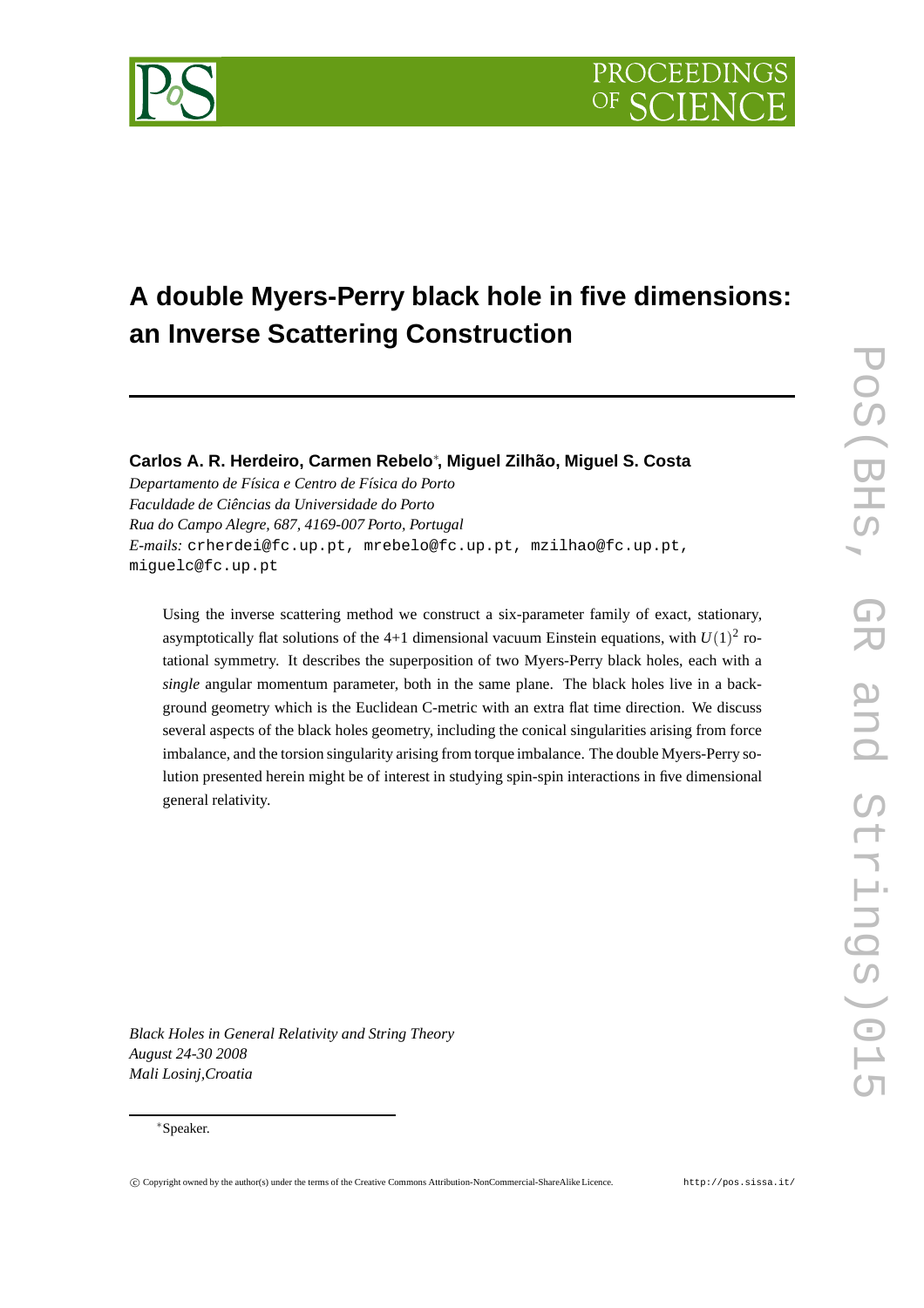# **A double Myers-Perry black hole in five dimensions: an Inverse Scattering Construction**

# **Carlos A. R. Herdeiro, Carmen Rebelo**∗ **, Miguel Zilhão, Miguel S. Costa**

*Departamento de Física e Centro de Física do Porto Faculdade de Ciências da Universidade do Porto Rua do Campo Alegre, 687, 4169-007 Porto, Portugal E-mails:* crherdei@fc.up.pt, mrebelo@fc.up.pt, mzilhao@fc.up.pt, miguelc@fc.up.pt

Using the inverse scattering method we construct a six-parameter family of exact, stationary, asymptotically flat solutions of the 4+1 dimensional vacuum Einstein equations, with  $U(1)^2$  rotational symmetry. It describes the superposition of two Myers-Perry black holes, each with a *single* angular momentum parameter, both in the same plane. The black holes live in a background geometry which is the Euclidean C-metric with an extra flat time direction. We discuss several aspects of the black holes geometry, including the conical singularities arising from force imbalance, and the torsion singularity arising from torque imbalance. The double Myers-Perry solution presented herein might be of interest in studying spin-spin interactions in five dimensional general relativity.

*Black Holes in General Relativity and String Theory August 24-30 2008 Mali Losinj,Croatia*

## ∗Speaker.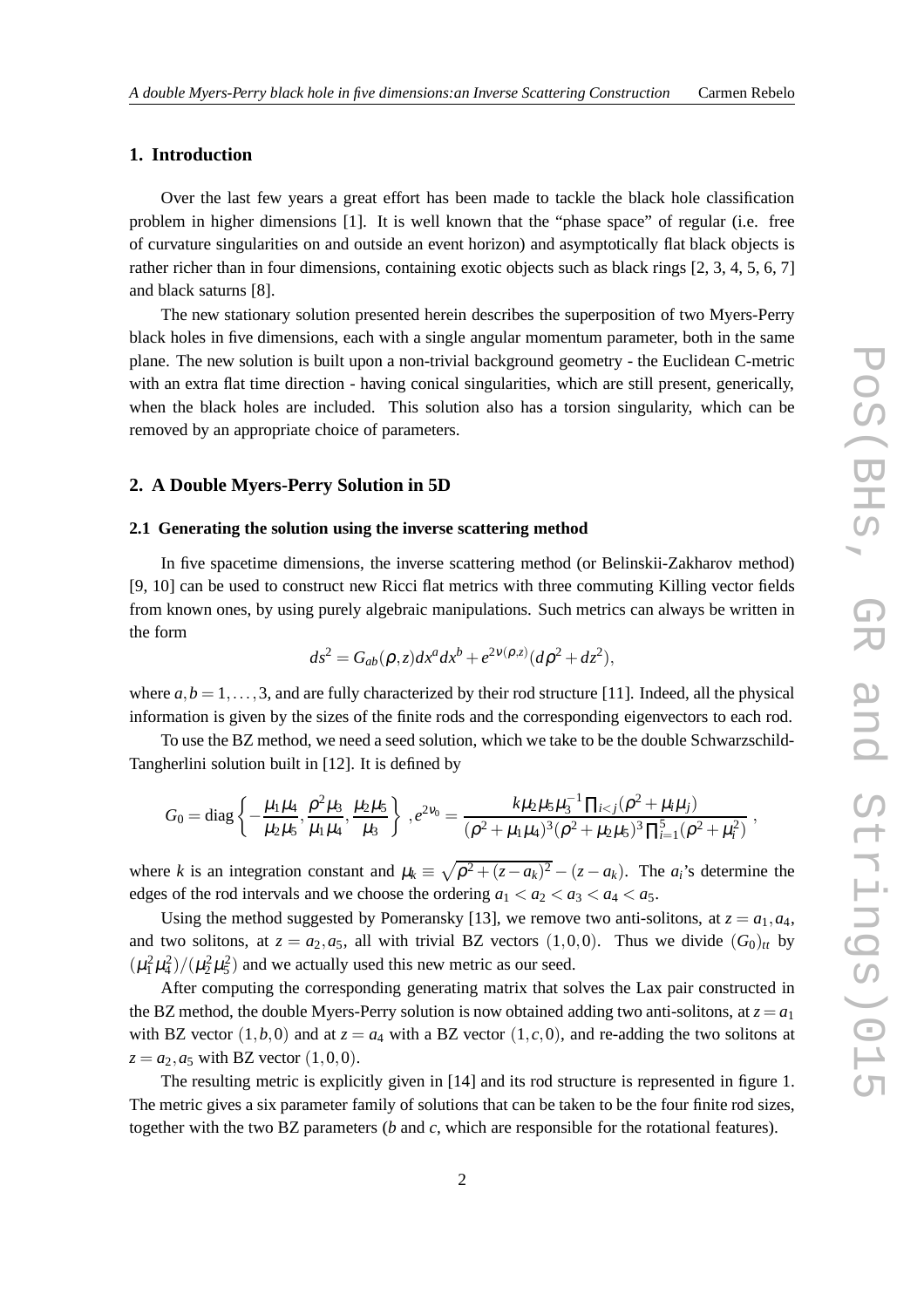# **1. Introduction**

Over the last few years a great effort has been made to tackle the black hole classification problem in higher dimensions [1]. It is well known that the "phase space" of regular (i.e. free of curvature singularities on and outside an event horizon) and asymptotically flat black objects is rather richer than in four dimensions, containing exotic objects such as black rings [2, 3, 4, 5, 6, 7] and black saturns [8].

The new stationary solution presented herein describes the superposition of two Myers-Perry black holes in five dimensions, each with a single angular momentum parameter, both in the same plane. The new solution is built upon a non-trivial background geometry - the Euclidean C-metric with an extra flat time direction - having conical singularities, which are still present, generically, when the black holes are included. This solution also has a torsion singularity, which can be removed by an appropriate choice of parameters.

# **2. A Double Myers-Perry Solution in 5D**

#### **2.1 Generating the solution using the inverse scattering method**

In five spacetime dimensions, the inverse scattering method (or Belinskii-Zakharov method) [9, 10] can be used to construct new Ricci flat metrics with three commuting Killing vector fields from known ones, by using purely algebraic manipulations. Such metrics can always be written in the form

$$
ds2 = Gab(\rho, z)dxa dxb + e2v(\rho, z)(d\rho2 + dz2),
$$

where  $a, b = 1, \ldots, 3$ , and are fully characterized by their rod structure [11]. Indeed, all the physical information is given by the sizes of the finite rods and the corresponding eigenvectors to each rod.

To use the BZ method, we need a seed solution, which we take to be the double Schwarzschild-Tangherlini solution built in [12]. It is defined by

$$
G_0 = \text{diag}\left\{-\frac{\mu_1\mu_4}{\mu_2\mu_5}, \frac{\rho^2\mu_3}{\mu_1\mu_4}, \frac{\mu_2\mu_5}{\mu_3}\right\}, e^{2\nu_0} = \frac{k\mu_2\mu_5\mu_3^{-1}\prod_{i < j}(\rho^2 + \mu_i\mu_j)}{(\rho^2 + \mu_1\mu_4)^3(\rho^2 + \mu_2\mu_5)^3\prod_{i=1}^5(\rho^2 + \mu_i^2)},
$$

where *k* is an integration constant and  $\mu_k \equiv \sqrt{\rho^2 + (z - a_k)^2} - (z - a_k)$ . The  $a_i$ 's determine the edges of the rod intervals and we choose the ordering  $a_1 < a_2 < a_3 < a_4 < a_5$ .

Using the method suggested by Pomeransky [13], we remove two anti-solitons, at  $z = a_1, a_4$ , and two solitons, at  $z = a_2, a_5$ , all with trivial BZ vectors  $(1,0,0)$ . Thus we divide  $(G_0)_{tt}$  by  $(\mu_1^2 \mu_4^2)/(\mu_2^2 \mu_5^2)$  and we actually used this new metric as our seed.

After computing the corresponding generating matrix that solves the Lax pair constructed in the BZ method, the double Myers-Perry solution is now obtained adding two anti-solitons, at  $z = a_1$ with BZ vector  $(1,b,0)$  and at  $z = a_4$  with a BZ vector  $(1,c,0)$ , and re-adding the two solitons at  $z = a_2$ ,  $a_5$  with BZ vector  $(1,0,0)$ .

The resulting metric is explicitly given in [14] and its rod structure is represented in figure 1. The metric gives a six parameter family of solutions that can be taken to be the four finite rod sizes, together with the two BZ parameters (*b* and *c*, which are responsible for the rotational features).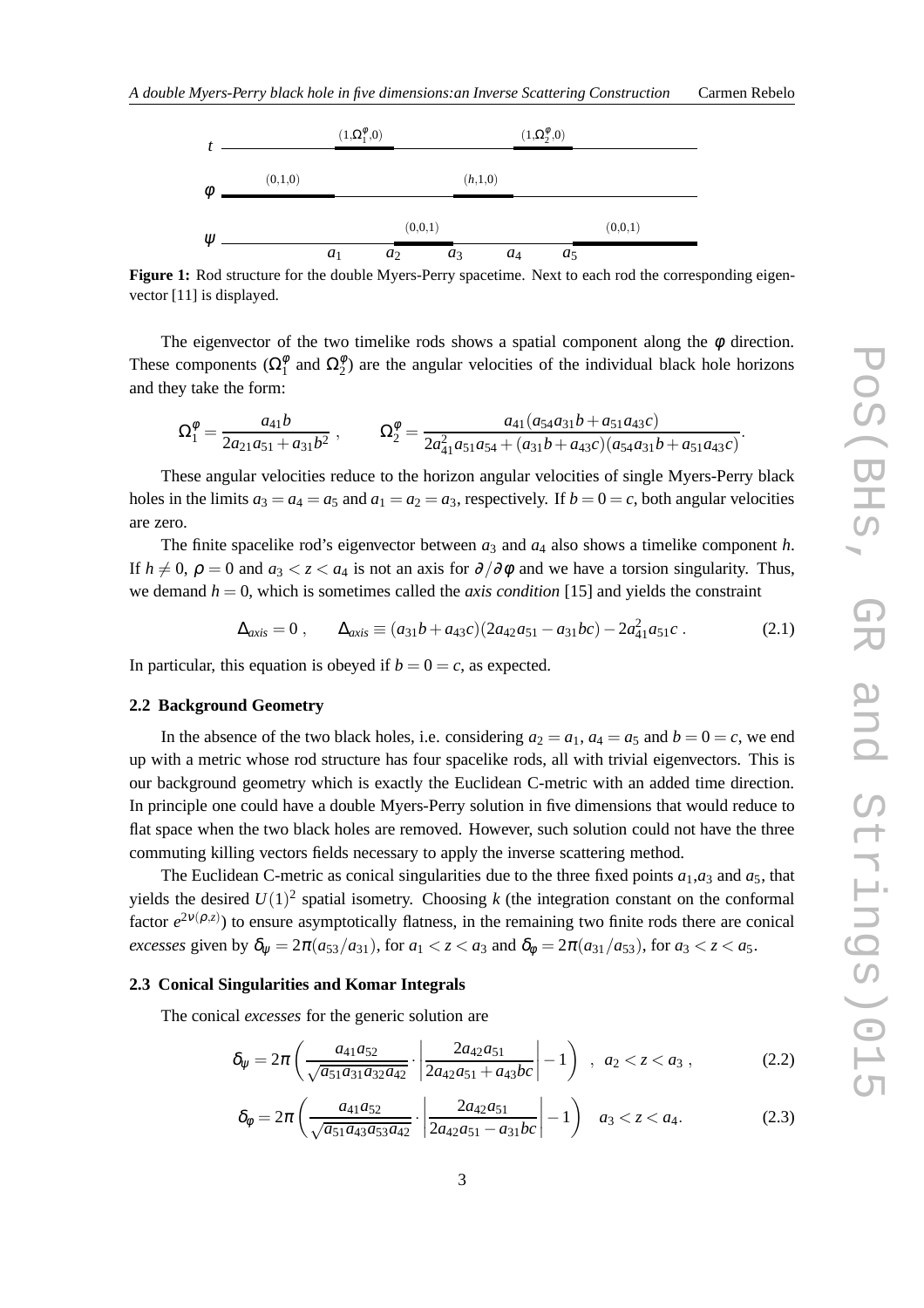

**Figure 1:** Rod structure for the double Myers-Perry spacetime. Next to each rod the corresponding eigenvector [11] is displayed.

The eigenvector of the two timelike rods shows a spatial component along the  $\phi$  direction. These components ( $\Omega_1^{\phi}$  $\frac{\phi}{1}$  and  $\Omega_2^{\phi}$  $2^{\varphi}$ ) are the angular velocities of the individual black hole horizons and they take the form:

$$
\Omega_1^{\phi} = \frac{a_{41}b}{2a_{21}a_{51} + a_{31}b^2} , \qquad \Omega_2^{\phi} = \frac{a_{41}(a_{54}a_{31}b + a_{51}a_{43}c)}{2a_{41}^2a_{51}a_{54} + (a_{31}b + a_{43}c)(a_{54}a_{31}b + a_{51}a_{43}c)}.
$$

These angular velocities reduce to the horizon angular velocities of single Myers-Perry black holes in the limits  $a_3 = a_4 = a_5$  and  $a_1 = a_2 = a_3$ , respectively. If  $b = 0 = c$ , both angular velocities are zero.

The finite spacelike rod's eigenvector between  $a_3$  and  $a_4$  also shows a timelike component *h*. If  $h \neq 0$ ,  $\rho = 0$  and  $a_3 < z < a_4$  is not an axis for  $\partial/\partial \phi$  and we have a torsion singularity. Thus, we demand *h* = 0, which is sometimes called the *axis condition* [15] and yields the constraint

$$
\Delta_{axis} = 0 \,, \qquad \Delta_{axis} \equiv (a_{31}b + a_{43}c)(2a_{42}a_{51} - a_{31}bc) - 2a_{41}^2a_{51}c \,. \tag{2.1}
$$

In particular, this equation is obeyed if  $b = 0 = c$ , as expected.

#### **2.2 Background Geometry**

In the absence of the two black holes, i.e. considering  $a_2 = a_1$ ,  $a_4 = a_5$  and  $b = 0 = c$ , we end up with a metric whose rod structure has four spacelike rods, all with trivial eigenvectors. This is our background geometry which is exactly the Euclidean C-metric with an added time direction. In principle one could have a double Myers-Perry solution in five dimensions that would reduce to flat space when the two black holes are removed. However, such solution could not have the three commuting killing vectors fields necessary to apply the inverse scattering method.

The Euclidean C-metric as conical singularities due to the three fixed points  $a_1$ ,  $a_3$  and  $a_5$ , that yields the desired  $U(1)^2$  spatial isometry. Choosing k (the integration constant on the conformal factor  $e^{2v(\rho,z)}$ ) to ensure asymptotically flatness, in the remaining two finite rods there are conical *excesses* given by  $\delta_{\psi} = 2\pi (a_{53}/a_{31})$ , for  $a_1 < z < a_3$  and  $\delta_{\phi} = 2\pi (a_{31}/a_{53})$ , for  $a_3 < z < a_5$ .

#### **2.3 Conical Singularities and Komar Integrals**

The conical *excesses* for the generic solution are

$$
\delta_{\psi} = 2\pi \left( \frac{a_{41}a_{52}}{\sqrt{a_{51}a_{31}a_{32}a_{42}}} \cdot \left| \frac{2a_{42}a_{51}}{2a_{42}a_{51} + a_{43}bc} \right| - 1 \right) , \ a_2 < z < a_3 , \qquad (2.2)
$$

$$
\delta_{\phi} = 2\pi \left( \frac{a_{41}a_{52}}{\sqrt{a_{51}a_{43}a_{53}a_{42}}} \cdot \left| \frac{2a_{42}a_{51}}{2a_{42}a_{51} - a_{31}bc} \right| - 1 \right) \quad a_{3} < z < a_{4}.\tag{2.3}
$$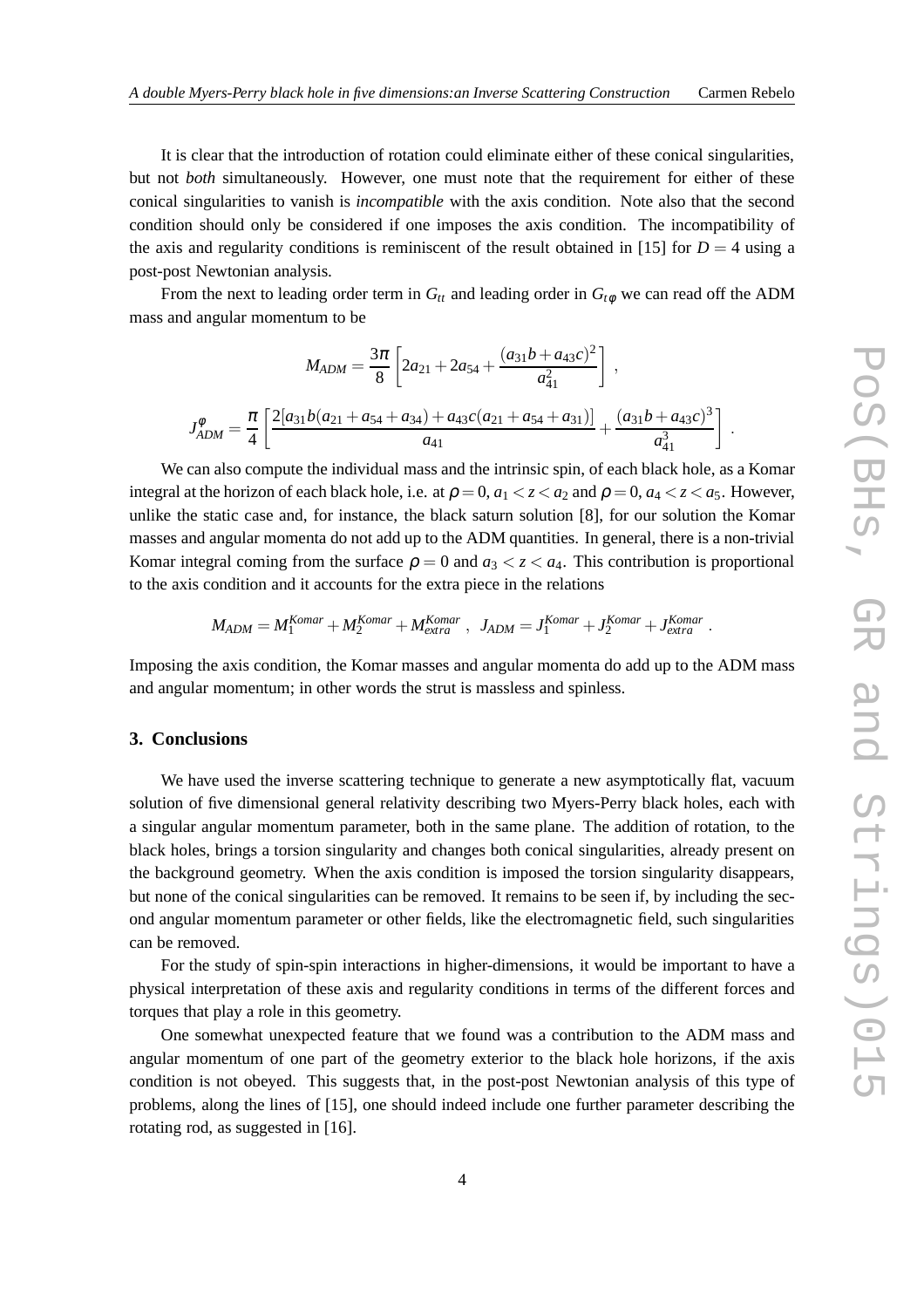It is clear that the introduction of rotation could eliminate either of these conical singularities, but not *both* simultaneously. However, one must note that the requirement for either of these conical singularities to vanish is *incompatible* with the axis condition. Note also that the second condition should only be considered if one imposes the axis condition. The incompatibility of the axis and regularity conditions is reminiscent of the result obtained in [15] for  $D = 4$  using a post-post Newtonian analysis.

From the next to leading order term in  $G_t$  and leading order in  $G_t$  we can read off the ADM mass and angular momentum to be

$$
M_{ADM} = \frac{3\pi}{8} \left[ 2a_{21} + 2a_{54} + \frac{(a_{31}b + a_{43}c)^2}{a_{41}^2} \right],
$$
  

$$
J_{ADM}^{\phi} = \frac{\pi}{4} \left[ \frac{2[a_{31}b(a_{21} + a_{54} + a_{34}) + a_{43}c(a_{21} + a_{54} + a_{31})]}{a_{41}} + \frac{(a_{31}b + a_{43}c)^3}{a_{41}^3} \right].
$$

We can also compute the individual mass and the intrinsic spin, of each black hole, as a Komar integral at the horizon of each black hole, i.e. at  $\rho = 0$ ,  $a_1 < z < a_2$  and  $\rho = 0$ ,  $a_4 < z < a_5$ . However, unlike the static case and, for instance, the black saturn solution [8], for our solution the Komar masses and angular momenta do not add up to the ADM quantities. In general, there is a non-trivial Komar integral coming from the surface  $\rho = 0$  and  $a_3 < z < a_4$ . This contribution is proportional to the axis condition and it accounts for the extra piece in the relations

$$
M_{ADM} = M_1^{Komar} + M_2^{Komar} + M_{extra}^{Komar} , J_{ADM} = J_1^{Komar} + J_{2}^{Komar} + J_{extra}^{Komar} .
$$

Imposing the axis condition, the Komar masses and angular momenta do add up to the ADM mass and angular momentum; in other words the strut is massless and spinless.

# **3. Conclusions**

We have used the inverse scattering technique to generate a new asymptotically flat, vacuum solution of five dimensional general relativity describing two Myers-Perry black holes, each with a singular angular momentum parameter, both in the same plane. The addition of rotation, to the black holes, brings a torsion singularity and changes both conical singularities, already present on the background geometry. When the axis condition is imposed the torsion singularity disappears, but none of the conical singularities can be removed. It remains to be seen if, by including the second angular momentum parameter or other fields, like the electromagnetic field, such singularities can be removed.

For the study of spin-spin interactions in higher-dimensions, it would be important to have a physical interpretation of these axis and regularity conditions in terms of the different forces and torques that play a role in this geometry.

One somewhat unexpected feature that we found was a contribution to the ADM mass and angular momentum of one part of the geometry exterior to the black hole horizons, if the axis condition is not obeyed. This suggests that, in the post-post Newtonian analysis of this type of problems, along the lines of [15], one should indeed include one further parameter describing the rotating rod, as suggested in [16].